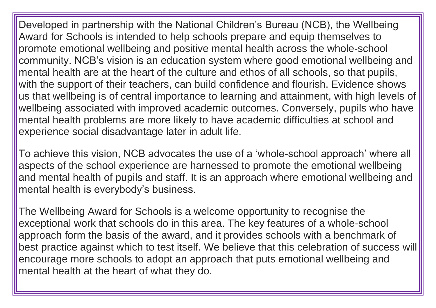Developed in partnership with the National Children's Bureau (NCB), the Wellbeing Award for Schools is intended to help schools prepare and equip themselves to promote emotional wellbeing and positive mental health across the whole-school community. NCB's vision is an education system where good emotional wellbeing and mental health are at the heart of the culture and ethos of all schools, so that pupils, with the support of their teachers, can build confidence and flourish. Evidence shows us that wellbeing is of central importance to learning and attainment, with high levels of wellbeing associated with improved academic outcomes. Conversely, pupils who have mental health problems are more likely to have academic difficulties at school and experience social disadvantage later in adult life.

To achieve this vision, NCB advocates the use of a 'whole-school approach' where all aspects of the school experience are harnessed to promote the emotional wellbeing and mental health of pupils and staff. It is an approach where emotional wellbeing and mental health is everybody's business.

The Wellbeing Award for Schools is a welcome opportunity to recognise the exceptional work that schools do in this area. The key features of a whole-school approach form the basis of the award, and it provides schools with a benchmark of best practice against which to test itself. We believe that this celebration of success will encourage more schools to adopt an approach that puts emotional wellbeing and mental health at the heart of what they do.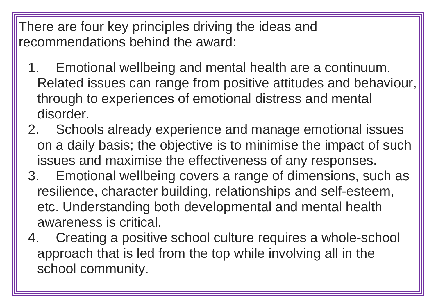There are four key principles driving the ideas and recommendations behind the award:

- 1. Emotional wellbeing and mental health are a continuum. Related issues can range from positive attitudes and behaviour, through to experiences of emotional distress and mental disorder.
- 2. Schools already experience and manage emotional issues on a daily basis; the objective is to minimise the impact of such issues and maximise the effectiveness of any responses.
- 3. Emotional wellbeing covers a range of dimensions, such as resilience, character building, relationships and self-esteem, etc. Understanding both developmental and mental health awareness is critical.
- 4. Creating a positive school culture requires a whole-school approach that is led from the top while involving all in the school community.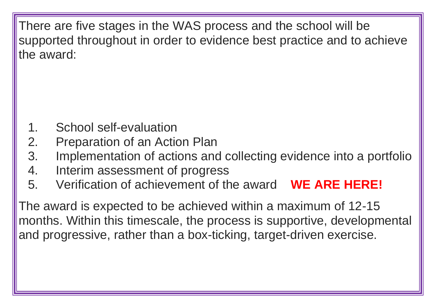There are five stages in the WAS process and the school will be supported throughout in order to evidence best practice and to achieve the award:

- 1. School self-evaluation
- 2. Preparation of an Action Plan
- 3. Implementation of actions and collecting evidence into a portfolio
- 4. Interim assessment of progress
- 5. Verification of achievement of the award **WE ARE HERE!**

The award is expected to be achieved within a maximum of 12-15 months. Within this timescale, the process is supportive, developmental and progressive, rather than a box-ticking, target-driven exercise.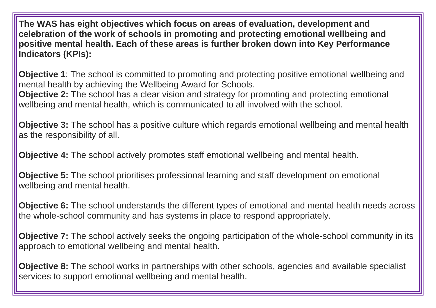**The WAS has eight objectives which focus on areas of evaluation, development and celebration of the work of schools in promoting and protecting emotional wellbeing and positive mental health. Each of these areas is further broken down into Key Performance Indicators (KPIs):**

**Objective 1**: The school is committed to promoting and protecting positive emotional wellbeing and mental health by achieving the Wellbeing Award for Schools. **Objective 2:** The school has a clear vision and strategy for promoting and protecting emotional wellbeing and mental health, which is communicated to all involved with the school.

**Objective 3:** The school has a positive culture which regards emotional wellbeing and mental health as the responsibility of all.

**Objective 4:** The school actively promotes staff emotional wellbeing and mental health.

**Objective 5:** The school prioritises professional learning and staff development on emotional wellbeing and mental health.

**Objective 6:** The school understands the different types of emotional and mental health needs across the whole-school community and has systems in place to respond appropriately.

**Objective 7:** The school actively seeks the ongoing participation of the whole-school community in its approach to emotional wellbeing and mental health.

**Objective 8:** The school works in partnerships with other schools, agencies and available specialist services to support emotional wellbeing and mental health.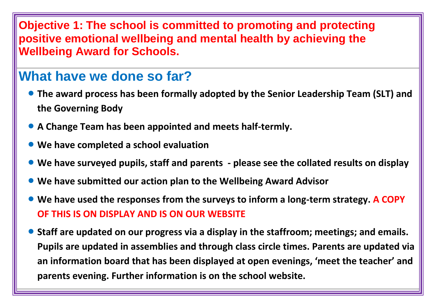#### **Objective 1: The school is committed to promoting and protecting positive emotional wellbeing and mental health by achieving the Wellbeing Award for Schools.**

# **What have we done so far?**

- **The award process has been formally adopted by the Senior Leadership Team (SLT) and the Governing Body**
- **A Change Team has been appointed and meets half-termly.**
- **We have completed a school evaluation**
- **We have surveyed pupils, staff and parents - please see the collated results on display**
- **We have submitted our action plan to the Wellbeing Award Advisor**
- **We have used the responses from the surveys to inform a long-term strategy. A COPY OF THIS IS ON DISPLAY AND IS ON OUR WEBSITE**
- **Staff are updated on our progress via a display in the staffroom; meetings; and emails. Pupils are updated in assemblies and through class circle times. Parents are updated via an information board that has been displayed at open evenings, 'meet the teacher' and parents evening. Further information is on the school website.**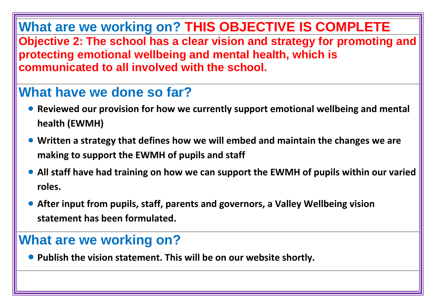# **What are we working on? THIS OBJECTIVE IS COMPLETE**

**Objective 2: The school has a clear vision and strategy for promoting and protecting emotional wellbeing and mental health, which is communicated to all involved with the school.**

# **What have we done so far?**

- **Reviewed our provision for how we currently support emotional wellbeing and mental health (EWMH)**
- **Written a strategy that defines how we will embed and maintain the changes we are making to support the EWMH of pupils and staff**
- **All staff have had training on how we can support the EWMH of pupils within our varied roles.**
- **After input from pupils, staff, parents and governors, a Valley Wellbeing vision statement has been formulated.**

# **What are we working on?**

**Publish the vision statement. This will be on our website shortly.**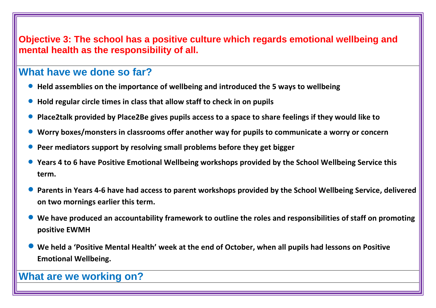#### **Objective 3: The school has a positive culture which regards emotional wellbeing and mental health as the responsibility of all.**

#### **What have we done so far?**

- **Held assemblies on the importance of wellbeing and introduced the 5 ways to wellbeing**
- **Hold regular circle times in class that allow staff to check in on pupils**
- **Place2talk provided by Place2Be gives pupils access to a space to share feelings if they would like to**
- **Worry boxes/monsters in classrooms offer another way for pupils to communicate a worry or concern**
- **Peer mediators support by resolving small problems before they get bigger**
- **Years 4 to 6 have Positive Emotional Wellbeing workshops provided by the School Wellbeing Service this term.**
- **Parents in Years 4-6 have had access to parent workshops provided by the School Wellbeing Service, delivered on two mornings earlier this term.**
- **We have produced an accountability framework to outline the roles and responsibilities of staff on promoting positive EWMH**
- **We held a 'Positive Mental Health' week at the end of October, when all pupils had lessons on Positive Emotional Wellbeing.**

#### **What are we working on?**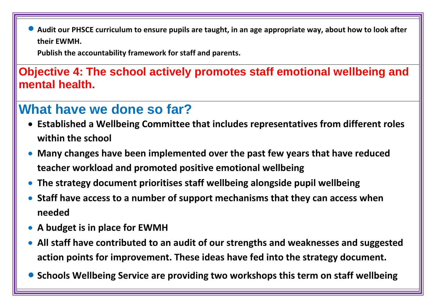**Audit our PHSCE curriculum to ensure pupils are taught, in an age appropriate way, about how to look after their EWMH.** 

**Publish the accountability framework for staff and parents.** 

**Objective 4: The school actively promotes staff emotional wellbeing and mental health.**

# **What have we done so far?**

- **Established a Wellbeing Committee that includes representatives from different roles within the school**
- **Many changes have been implemented over the past few years that have reduced teacher workload and promoted positive emotional wellbeing**
- **The strategy document prioritises staff wellbeing alongside pupil wellbeing**
- **Staff have access to a number of support mechanisms that they can access when needed**
- **A budget is in place for EWMH**
- **All staff have contributed to an audit of our strengths and weaknesses and suggested action points for improvement. These ideas have fed into the strategy document.**
- **Schools Wellbeing Service are providing two workshops this term on staff wellbeing**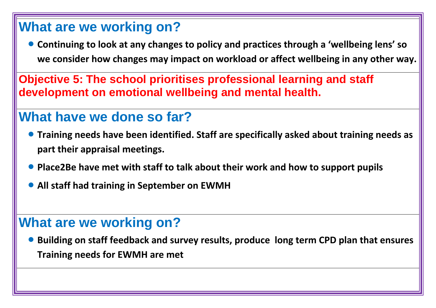# **What are we working on?**

 **Continuing to look at any changes to policy and practices through a 'wellbeing lens' so we consider how changes may impact on workload or affect wellbeing in any other way.** 

**Objective 5: The school prioritises professional learning and staff development on emotional wellbeing and mental health.**

# **What have we done so far?**

- **Training needs have been identified. Staff are specifically asked about training needs as part their appraisal meetings.**
- **Place2Be have met with staff to talk about their work and how to support pupils**
- **All staff had training in September on EWMH**

# **What are we working on?**

 **Building on staff feedback and survey results, produce long term CPD plan that ensures Training needs for EWMH are met**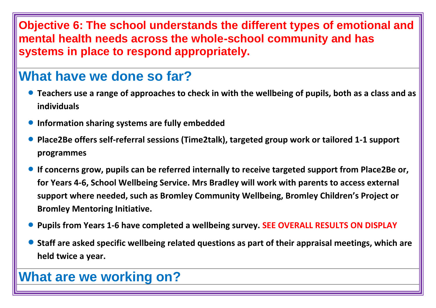#### **Objective 6: The school understands the different types of emotional and mental health needs across the whole-school community and has systems in place to respond appropriately.**

# **What have we done so far?**

- **Teachers use a range of approaches to check in with the wellbeing of pupils, both as a class and as individuals**
- **Information sharing systems are fully embedded**
- **Place2Be offers self-referral sessions (Time2talk), targeted group work or tailored 1-1 support programmes**
- **If concerns grow, pupils can be referred internally to receive targeted support from Place2Be or, for Years 4-6, School Wellbeing Service. Mrs Bradley will work with parents to access external support where needed, such as Bromley Community Wellbeing, Bromley Children's Project or Bromley Mentoring Initiative.**
- **Pupils from Years 1-6 have completed a wellbeing survey. SEE OVERALL RESULTS ON DISPLAY**
- **Staff are asked specific wellbeing related questions as part of their appraisal meetings, which are held twice a year.**

# **What are we working on?**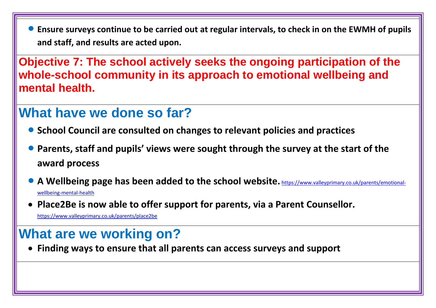**Ensure surveys continue to be carried out at regular intervals, to check in on the EWMH of pupils and staff, and results are acted upon.** 

**Objective 7: The school actively seeks the ongoing participation of the whole-school community in its approach to emotional wellbeing and mental health.**

# **What have we done so far?**

- **School Council are consulted on changes to relevant policies and practices**
- **Parents, staff and pupils' views were sought through the survey at the start of the award process**
- **A Wellbeing page has been added to the school website.** [https://www.valleyprimary.co.uk/parents/emotional](https://www.valleyprimary.co.uk/parents/emotional-wellbeing-mental-health)[wellbeing-mental-health](https://www.valleyprimary.co.uk/parents/emotional-wellbeing-mental-health)
- **Place2Be is now able to offer support for parents, via a Parent Counsellor.**

<https://www.valleyprimary.co.uk/parents/place2be>

# **What are we working on?**

**Finding ways to ensure that all parents can access surveys and support**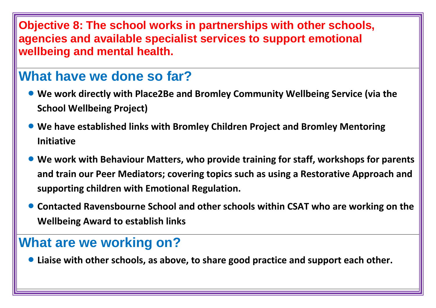**Objective 8: The school works in partnerships with other schools, agencies and available specialist services to support emotional wellbeing and mental health.**

# **What have we done so far?**

- **We work directly with Place2Be and Bromley Community Wellbeing Service (via the School Wellbeing Project)**
- **We have established links with Bromley Children Project and Bromley Mentoring Initiative**
- **We work with Behaviour Matters, who provide training for staff, workshops for parents and train our Peer Mediators; covering topics such as using a Restorative Approach and supporting children with Emotional Regulation.**
- **Contacted Ravensbourne School and other schools within CSAT who are working on the Wellbeing Award to establish links**

### **What are we working on?**

**Liaise with other schools, as above, to share good practice and support each other.**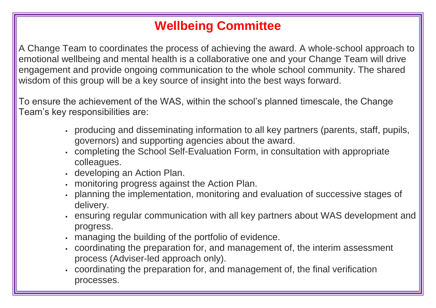# **Wellbeing Committee**

A Change Team to coordinates the process of achieving the award. A whole-school approach to emotional wellbeing and mental health is a collaborative one and your Change Team will drive engagement and provide ongoing communication to the whole school community. The shared wisdom of this group will be a key source of insight into the best ways forward.

To ensure the achievement of the WAS, within the school's planned timescale, the Change Team's key responsibilities are:

- producing and disseminating information to all key partners (parents, staff, pupils, governors) and supporting agencies about the award.
- completing the School Self-Evaluation Form, in consultation with appropriate colleagues.
- developing an Action Plan.
- monitoring progress against the Action Plan.
- planning the implementation, monitoring and evaluation of successive stages of delivery.
- ensuring regular communication with all key partners about WAS development and progress.
- managing the building of the portfolio of evidence.
- coordinating the preparation for, and management of, the interim assessment process (Adviser-led approach only).
- coordinating the preparation for, and management of, the final verification processes.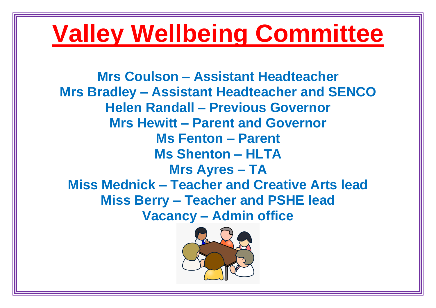# **Valley Wellbeing Committee**

**Mrs Coulson – Assistant Headteacher Mrs Bradley – Assistant Headteacher and SENCO Helen Randall – Previous Governor Mrs Hewitt – Parent and Governor Ms Fenton – Parent Ms Shenton – HLTA Mrs Ayres – TA Miss Mednick – Teacher and Creative Arts lead Miss Berry – Teacher and PSHE lead Vacancy – Admin office**

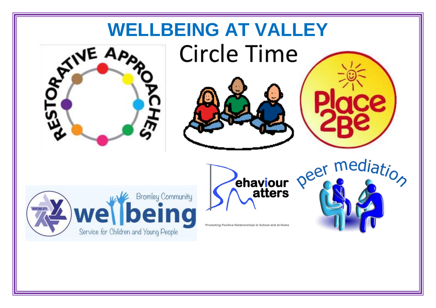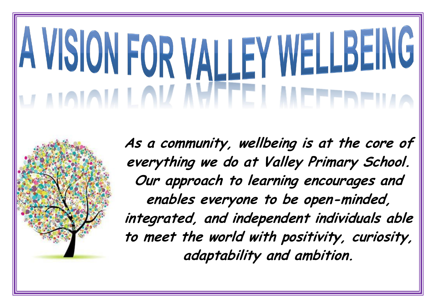# A VISION FOR VALLEY WELLBEING **JAMAMLAV NYFEL**

**As a community, wellbeing is at the core of everything we do at Valley Primary School. Our approach to learning encourages and enables everyone to be open-minded, integrated, and independent individuals able to meet the world with positivity, curiosity, adaptability and ambition.**